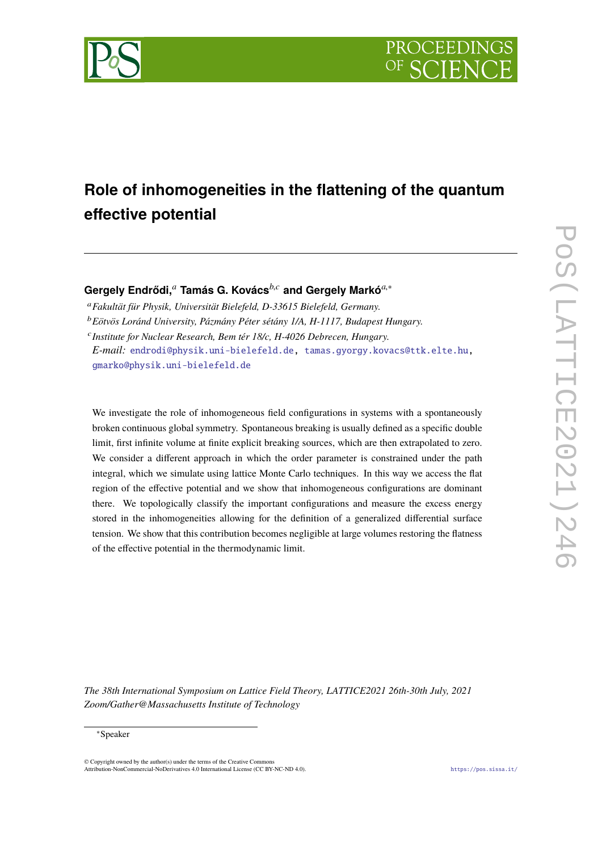



# **Role of inhomogeneities in the flattening of the quantum effective potential**

**Gergely Endrődi,***<sup>a</sup>* **Tamás G. Kovács***b*,*<sup>c</sup>* **and Gergely Markó***a*,<sup>∗</sup>

<sup>a</sup>*Fakultät für Physik, Universität Bielefeld, D-33615 Bielefeld, Germany.* <sup>b</sup>*Eötvös Loránd University, Pázmány Péter sétány 1/A, H-1117, Budapest Hungary.* <sup>c</sup> Institute for Nuclear Research, Bem tér 18/c, H-4026 Debrecen, Hungary. *E-mail:* [endrodi@physik.uni-bielefeld.de,](mailto:endrodi@physik.uni-bielefeld.de) [tamas.gyorgy.kovacs@ttk.elte.hu,](mailto:tamas.gyorgy.kovacs@ttk.elte.hu) [gmarko@physik.uni-bielefeld.de](mailto:gmarko@physik.uni-bielefeld.de)

We investigate the role of inhomogeneous field configurations in systems with a spontaneously broken continuous global symmetry. Spontaneous breaking is usually defined as a specific double limit, first infinite volume at finite explicit breaking sources, which are then extrapolated to zero. We consider a different approach in which the order parameter is constrained under the path integral, which we simulate using lattice Monte Carlo techniques. In this way we access the flat region of the effective potential and we show that inhomogeneous configurations are dominant there. We topologically classify the important configurations and measure the excess energy stored in the inhomogeneities allowing for the definition of a generalized differential surface tension. We show that this contribution becomes negligible at large volumes restoring the flatness of the effective potential in the thermodynamic limit.

*The 38th International Symposium on Lattice Field Theory, LATTICE2021 26th-30th July, 2021 Zoom/Gather@Massachusetts Institute of Technology*

#### <sup>∗</sup>Speaker

 $\odot$  Copyright owned by the author(s) under the terms of the Creative Common Attribution-NonCommercial-NoDerivatives 4.0 International License (CC BY-NC-ND 4.0). <https://pos.sissa.it/>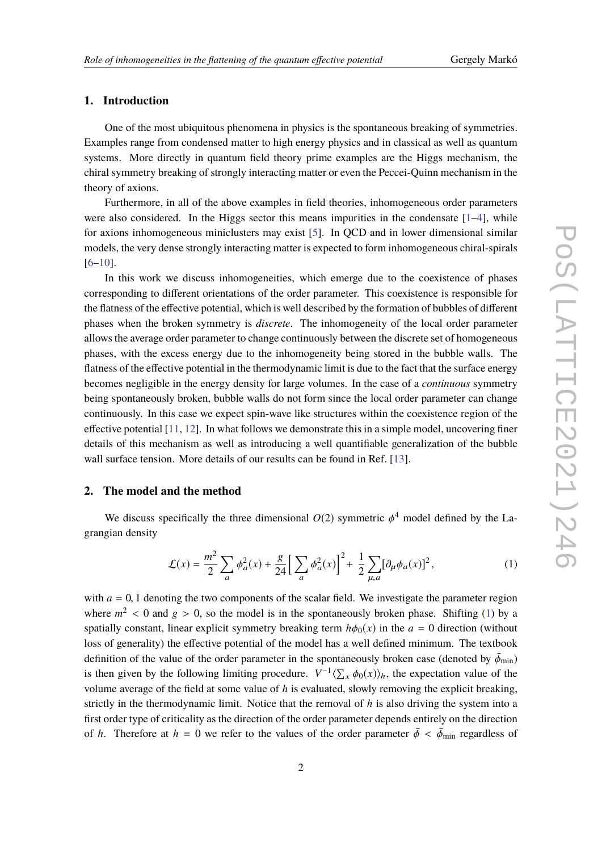# **1. Introduction**

One of the most ubiquitous phenomena in physics is the spontaneous breaking of symmetries. Examples range from condensed matter to high energy physics and in classical as well as quantum systems. More directly in quantum field theory prime examples are the Higgs mechanism, the chiral symmetry breaking of strongly interacting matter or even the Peccei-Quinn mechanism in the theory of axions.

Furthermore, in all of the above examples in field theories, inhomogeneous order parameters were also considered. In the Higgs sector this means impurities in the condensate  $[1-4]$  $[1-4]$ , while for axions inhomogeneous miniclusters may exist [\[5\]](#page-7-2). In QCD and in lower dimensional similar models, the very dense strongly interacting matter is expected to form inhomogeneous chiral-spirals [\[6](#page-7-3)[–10\]](#page-8-0).

In this work we discuss inhomogeneities, which emerge due to the coexistence of phases corresponding to different orientations of the order parameter. This coexistence is responsible for the flatness of the effective potential, which is well described by the formation of bubbles of different phases when the broken symmetry is *discrete*. The inhomogeneity of the local order parameter allows the average order parameter to change continuously between the discrete set of homogeneous phases, with the excess energy due to the inhomogeneity being stored in the bubble walls. The flatness of the effective potential in the thermodynamic limit is due to the fact that the surface energy becomes negligible in the energy density for large volumes. In the case of a *continuous* symmetry being spontaneously broken, bubble walls do not form since the local order parameter can change continuously. In this case we expect spin-wave like structures within the coexistence region of the effective potential [\[11,](#page-8-1) [12\]](#page-8-2). In what follows we demonstrate this in a simple model, uncovering finer details of this mechanism as well as introducing a well quantifiable generalization of the bubble wall surface tension. More details of our results can be found in Ref. [\[13\]](#page-8-3).

# **2. The model and the method**

We discuss specifically the three dimensional  $O(2)$  symmetric  $\phi^4$  model defined by the Lagrangian density

<span id="page-1-0"></span>
$$
\mathcal{L}(x) = \frac{m^2}{2} \sum_{a} \phi_a^2(x) + \frac{g}{24} \Big[ \sum_{a} \phi_a^2(x) \Big]^2 + \frac{1}{2} \sum_{\mu, a} [\partial_\mu \phi_a(x)]^2,
$$
 (1)

with  $a = 0$ , 1 denoting the two components of the scalar field. We investigate the parameter region where  $m^2 < 0$  and  $g > 0$ , so the model is in the spontaneously broken phase. Shifting [\(1\)](#page-1-0) by a constally constant linear qualisit symmetry broaling term *let* (a) in the  $g = 0$  direction (without spatially constant, linear explicit symmetry breaking term  $h\phi_0(x)$  in the  $a = 0$  direction (without loss of generality) the effective potential of the model has a well defined minimum. The textbook definition of the value of the order parameter in the spontaneously broken case (denoted by  $\bar{\phi}_{min}$ ) is then given by the following limiting procedure.  $V^{-1}\langle \sum_{x} \phi_0(x) \rangle_h$ , the expectation value of the systems value of the field at some value of this system of the systems in a system of the systems. volume average of the field at some value of *h* is evaluated, slowly removing the explicit breaking, strictly in the thermodynamic limit. Notice that the removal of *h* is also driving the system into a first order type of criticality as the direction of the order parameter depends entirely on the direction of *h*. Therefore at  $h = 0$  we refer to the values of the order parameter  $\bar{\phi} < \bar{\phi}_{min}$  regardless of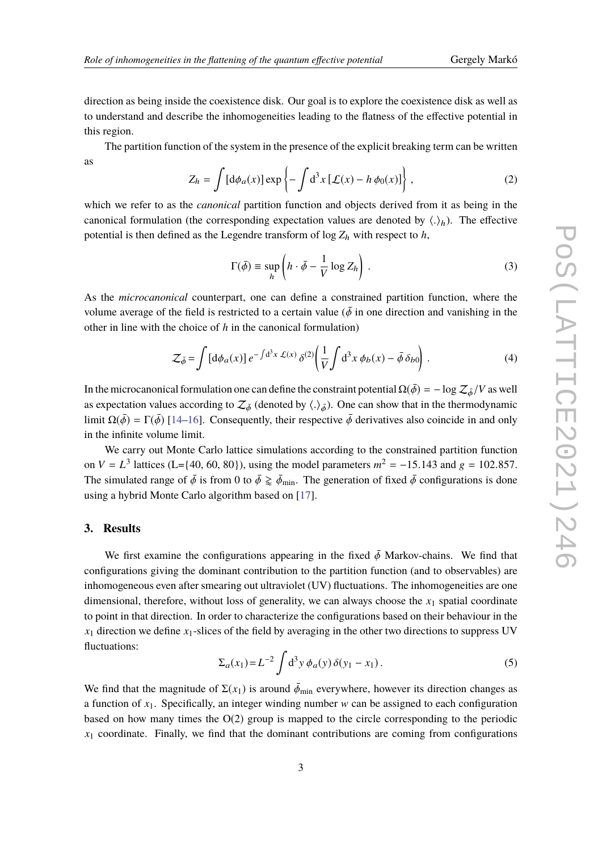direction as being inside the coexistence disk. Our goal is to explore the coexistence disk as well as to understand and describe the inhomogeneities leading to the flatness of the effective potential in this region.

The partition function of the system in the presence of the explicit breaking term can be written as

$$
Z_h = \int \left[ d\phi_a(x) \right] \exp \left\{ -\int d^3x \left[ \mathcal{L}(x) - h \phi_0(x) \right] \right\},\tag{2}
$$

which we refer to as the *canonical* partition function and objects derived from it as being in the canonical formulation (the corresponding expectation values are denoted by  $\langle . \rangle_h$ ). The effective netatiol is then defined as the Leonardo transform of log Z, with respect to L. potential is then defined as the Legendre transform of  $\log Z_h$  with respect to *h*,

$$
\Gamma(\bar{\phi}) \equiv \sup_{h} \left( h \cdot \bar{\phi} - \frac{1}{V} \log Z_h \right). \tag{3}
$$

As the *microcanonical* counterpart, one can define a constrained partition function, where the volume average of the field is restricted to a certain value ( $\bar{\phi}$  in one direction and vanishing in the other in line with the choice of *h* in the canonical formulation)

$$
\mathcal{Z}_{\bar{\phi}} = \int \left[ d\phi_a(x) \right] e^{-\int d^3x \mathcal{L}(x)} \delta^{(2)} \left( \frac{1}{V} \int d^3x \, \phi_b(x) - \bar{\phi} \, \delta_{b0} \right) \,. \tag{4}
$$

In the microcanonical formulation one can define the constraint potential  $\Omega(\bar{\phi}) = -\log \mathcal{Z}_{\bar{\phi}}/V$  as well as expectation values according to  $\mathcal{Z}_{\bar{\phi}}$  (denoted by  $\langle .\rangle_{\bar{\phi}}$ ). One can show that in the thermodynamic limit  $\Omega(\bar{\phi}) = \Gamma(\bar{\phi})$  [\[14–](#page-8-4)[16\]](#page-8-5). Consequently, their respective  $\bar{\phi}$  derivatives also coincide in and only in the infinite volume limit.

We carry out Monte Carlo lattice simulations according to the constrained partition function on *V* = *L*<sup>3</sup> lattices (L={40, 60, 80}), using the model parameters  $m^2 = -15.143$  and  $g = 102.857$ . The simulated range of  $\bar{\phi}$  is from 0 to  $\bar{\phi} \gtrapprox \bar{\phi}_{min}$ . The generation of fixed  $\bar{\phi}$  configurations is done using a hybrid Monte Carlo algorithm based on [\[17\]](#page-8-6).

### **3. Results**

We first examine the configurations appearing in the fixed  $\bar{\phi}$  Markov-chains. We find that configurations giving the dominant contribution to the partition function (and to observables) are inhomogeneous even after smearing out ultraviolet (UV) fluctuations. The inhomogeneities are one dimensional, therefore, without loss of generality, we can always choose the  $x_1$  spatial coordinate to point in that direction. In order to characterize the configurations based on their behaviour in the  $x_1$  direction we define  $x_1$ -slices of the field by averaging in the other two directions to suppress UV fluctuations:

$$
\Sigma_a(x_1) = L^{-2} \int d^3 y \, \phi_a(y) \, \delta(y_1 - x_1) \,. \tag{5}
$$

We find that the magnitude of  $\Sigma(x_1)$  is around  $\bar{\phi}_{min}$  everywhere, however its direction changes as a function of  $x_1$ . Specifically, an integer winding number w can be assigned to each configuration based on how many times the  $O(2)$  group is mapped to the circle corresponding to the periodic  $x<sub>1</sub>$  coordinate. Finally, we find that the dominant contributions are coming from configurations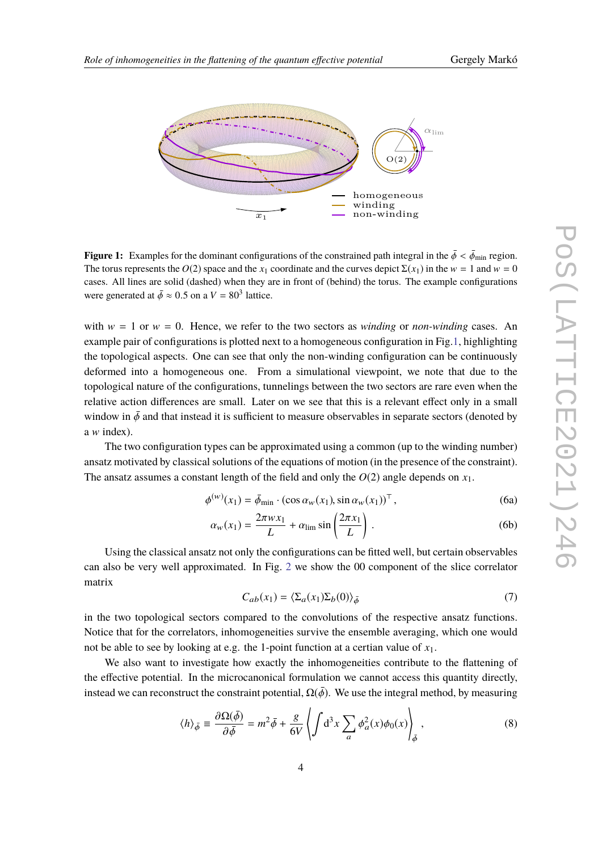

<span id="page-3-0"></span>

**Figure 1:** Examples for the dominant configurations of the constrained path integral in the  $\bar{\phi} < \bar{\phi}_{\min}$  region. The torus represents the  $O(2)$  space and the  $x_1$  coordinate and the curves depict  $\Sigma(x_1)$  in the  $w = 1$  and  $w = 0$ cases. All lines are solid (dashed) when they are in front of (behind) the torus. The example configurations were generated at  $\bar{\phi} \approx 0.5$  on a  $V = 80^3$  lattice.

with  $w = 1$  or  $w = 0$ . Hence, we refer to the two sectors as *winding* or *non-winding* cases. An example pair of configurations is plotted next to a homogeneous configuration in Fig[.1,](#page-3-0) highlighting the topological aspects. One can see that only the non-winding configuration can be continuously deformed into a homogeneous one. From a simulational viewpoint, we note that due to the topological nature of the configurations, tunnelings between the two sectors are rare even when the relative action differences are small. Later on we see that this is a relevant effect only in a small window in  $\bar{\phi}$  and that instead it is sufficient to measure observables in separate sectors (denoted by a w index).

The two configuration types can be approximated using a common (up to the winding number) ansatz motivated by classical solutions of the equations of motion (in the presence of the constraint). The ansatz assumes a constant length of the field and only the  $O(2)$  angle depends on  $x_1$ .

$$
\phi^{(w)}(x_1) = \bar{\phi}_{\min} \cdot (\cos \alpha_w(x_1), \sin \alpha_w(x_1))^{\top}, \tag{6a}
$$

$$
\alpha_w(x_1) = \frac{2\pi w x_1}{L} + \alpha_{\lim} \sin\left(\frac{2\pi x_1}{L}\right). \tag{6b}
$$

Using the classical ansatz not only the configurations can be fitted well, but certain observables can also be very well approximated. In Fig. [2](#page-4-0) we show the 00 component of the slice correlator matrix

$$
C_{ab}(x_1) = \langle \Sigma_a(x_1) \Sigma_b(0) \rangle_{\bar{\phi}}
$$
 (7)

in the two topological sectors compared to the convolutions of the respective ansatz functions. Notice that for the correlators, inhomogeneities survive the ensemble averaging, which one would not be able to see by looking at e.g. the 1-point function at a certian value of *x*1.

We also want to investigate how exactly the inhomogeneities contribute to the flattening of the effective potential. In the microcanonical formulation we cannot access this quantity directly, instead we can reconstruct the constraint potential,  $\Omega(\bar{\phi})$ . We use the integral method, by measuring

$$
\langle h \rangle_{\bar{\phi}} \equiv \frac{\partial \Omega(\bar{\phi})}{\partial \bar{\phi}} = m^2 \bar{\phi} + \frac{g}{6V} \left\langle \int d^3 x \sum_a \phi_a^2(x) \phi_0(x) \right\rangle_{\bar{\phi}}, \tag{8}
$$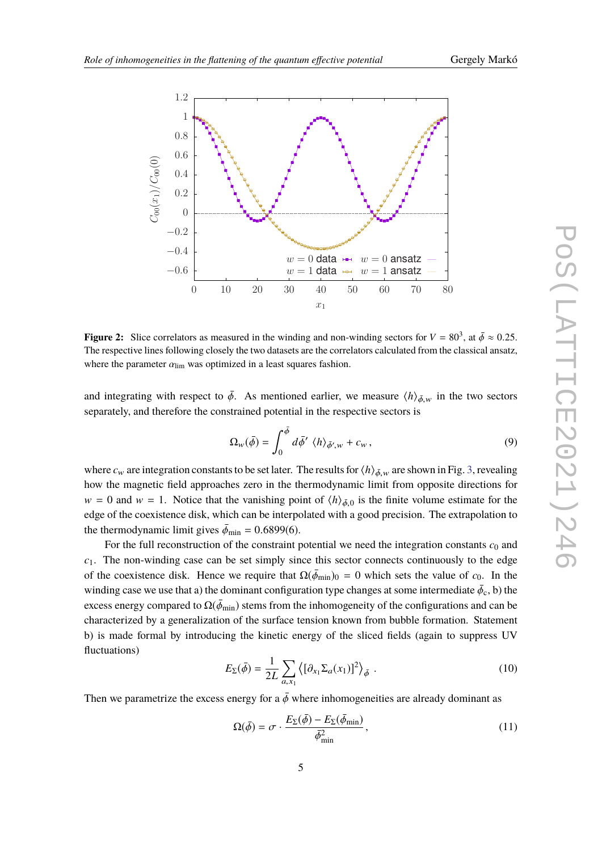<span id="page-4-0"></span>

**Figure 2:** Slice correlators as measured in the winding and non-winding sectors for  $V = 80^3$ , at  $\bar{\phi} \approx 0.25$ .<br>The respective lines following closely the two detects are the correlators coloulated from the closeigel a The respective lines following closely the two datasets are the correlators calculated from the classical ansatz, where the parameter  $\alpha_{\text{lim}}$  was optimized in a least squares fashion.

and integrating with respect to  $\bar{\phi}$ . As mentioned earlier, we measure  $\langle h \rangle_{\bar{\phi},w}$  in the two sectors separately, and therefore the constrained potential in the respective sectors is

$$
\Omega_{\scriptscriptstyle W}(\bar{\phi}) = \int_0^{\bar{\phi}} d\bar{\phi}' \langle h \rangle_{\bar{\phi}',\scriptscriptstyle W} + c_{\scriptscriptstyle W},\tag{9}
$$

where  $c_w$  are integration constants to be set later. The results for  $\langle h \rangle_{\bar{\phi}, w}$  are shown in Fig. [3,](#page-5-0) revealing how the magnetic field approaches zero in the thermodynamic limit from opposite directions for  $w = 0$  and  $w = 1$ . Notice that the vanishing point of  $\langle h \rangle_{\phi,0}$  is the finite volume estimate for the relation of the consistence disk unit because the internal state of the consistence disk unit because the internal edge of the coexistence disk, which can be interpolated with a good precision. The extrapolation to the thermodynamic limit gives  $\bar{\phi}_{min} = 0.6899(6)$ .

For the full reconstruction of the constraint potential we need the integration constants  $c_0$  and  $c_1$ . The non-winding case can be set simply since this sector connects continuously to the edge of the coexistence disk. Hence we require that  $\Omega(\bar{\phi}_{min})_0 = 0$  which sets the value of  $c_0$ . In the winding case we use that a) the dominant configuration type changes at some intermediate  $\bar{\phi}_c$ , b) the excess energy compared to  $\Omega(\bar{\phi}_{min})$  stems from the inhomogeneity of the configurations and can be characterized by a generalization of the surface tension known from bubble formation. Statement b) is made formal by introducing the kinetic energy of the sliced fields (again to suppress UV fluctuations)

$$
E_{\Sigma}(\bar{\phi}) = \frac{1}{2L} \sum_{a,x_1} \left\langle [\partial_{x_1} \Sigma_a(x_1)]^2 \right\rangle_{\bar{\phi}} . \tag{10}
$$

Then we parametrize the excess energy for a  $\bar{\phi}$  where inhomogeneities are already dominant as

<span id="page-4-1"></span>
$$
\Omega(\bar{\phi}) = \sigma \cdot \frac{E_{\Sigma}(\bar{\phi}) - E_{\Sigma}(\bar{\phi}_{\min})}{\bar{\phi}_{\min}^2},\tag{11}
$$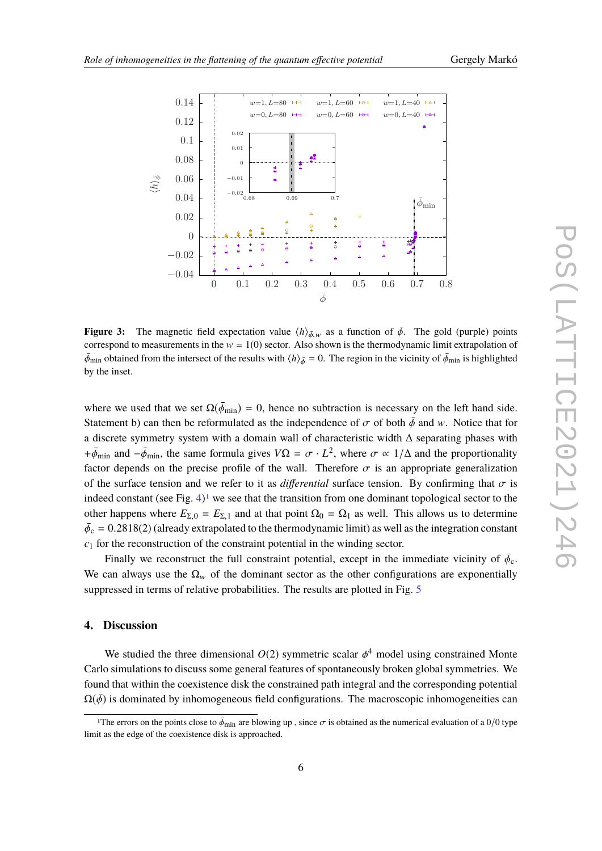<span id="page-5-0"></span>

**Figure 3:** The magnetic field expectation value  $\langle h \rangle_{\bar{\phi},w}$  as a function of  $\bar{\phi}$ . The gold (purple) points correspond to measurements in the  $w = 1(0)$  sector. Also shown is the thermodynamic limit extrapolation of  $\bar{\phi}_{min}$  obtained from the intersect of the results with  $\langle h \rangle_{\bar{\phi}} = 0$ . The region in the vicinity of  $\bar{\phi}_{min}$  is highlighted by the inset.

where we used that we set  $\Omega(\bar{\phi}_{min}) = 0$ , hence no subtraction is necessary on the left hand side. Statement b) can then be reformulated as the independence of  $\sigma$  of both  $\bar{\phi}$  and w. Notice that for a discrete symmetry system with a domain wall of characteristic width ∆ separating phases with  $+\bar{\phi}_{min}$  and  $-\bar{\phi}_{min}$ , the same formula gives  $V\Omega = \sigma \cdot L^2$ , where  $\sigma \propto 1/\Delta$  and the proportionality factor depends on the precise profile of the wall. Therefore  $\sigma$  is an appropriate generalization of the surface tension and we refer to it as *differential* surface tension. By confirming that  $\sigma$  is indeed constant (see Fig.  $4$ )<sup>[1](#page-5-1)</sup> we see that the transition from one dominant topological sector to the other happens where  $E_{\Sigma,0} = E_{\Sigma,1}$  and at that point  $\Omega_0 = \Omega_1$  as well. This allows us to determine  $\bar{\phi}_c = 0.2818(2)$  (already extrapolated to the thermodynamic limit) as well as the integration constant *c*<sup>1</sup> for the reconstruction of the constraint potential in the winding sector.

Finally we reconstruct the full constraint potential, except in the immediate vicinity of  $\bar{\phi}_c$ . We can always use the  $\Omega_w$  of the dominant sector as the other configurations are exponentially suppressed in terms of relative probabilities. The results are plotted in Fig. [5](#page-6-1)

## **4. Discussion**

We studied the three dimensional  $O(2)$  symmetric scalar  $\phi^4$  model using constrained Monte Carlo simulations to discuss some general features of spontaneously broken global symmetries. We found that within the coexistence disk the constrained path integral and the corresponding potential  $\Omega(\bar{\phi})$  is dominated by inhomogeneous field configurations. The macroscopic inhomogeneities can

<span id="page-5-1"></span><sup>&</sup>lt;sup>1</sup>The errors on the points close to  $\bar{\phi}_{min}$  are blowing up, since  $\sigma$  is obtained as the numerical evaluation of a 0/0 type limit as the edge of the coexistence disk is approached.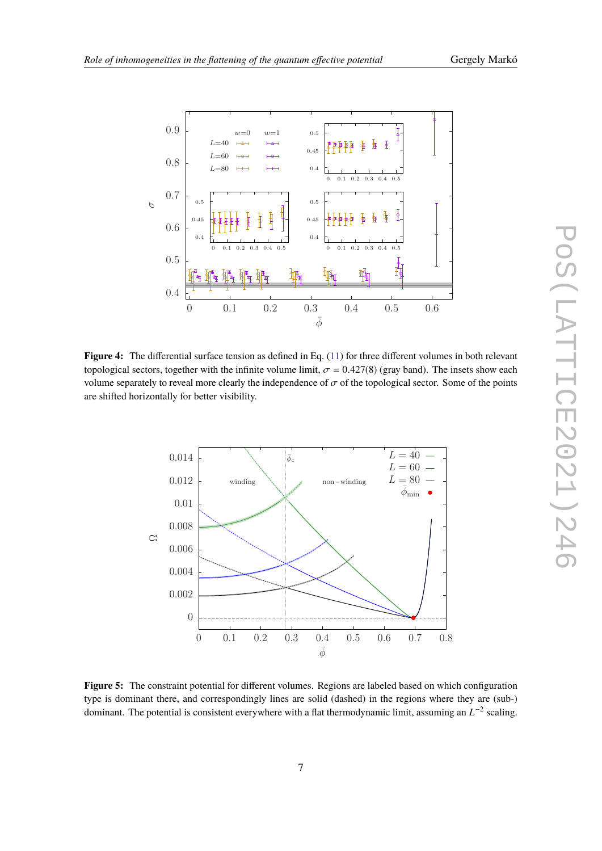<span id="page-6-0"></span>

**Figure 4:** The differential surface tension as defined in Eq. [\(11\)](#page-4-1) for three different volumes in both relevant topological sectors, together with the infinite volume limit,  $\sigma = 0.427(8)$  (gray band). The insets show each volume separately to reveal more clearly the independence of  $\sigma$  of the topological sector. Some of the points are shifted horizontally for better visibility.

<span id="page-6-1"></span>

**Figure 5:** The constraint potential for different volumes. Regions are labeled based on which configuration type is dominant there, and correspondingly lines are solid (dashed) in the regions where they are (sub-) dominant. The potential is consistent everywhere with a flat thermodynamic limit, assuming an  $L^{-2}$  scaling.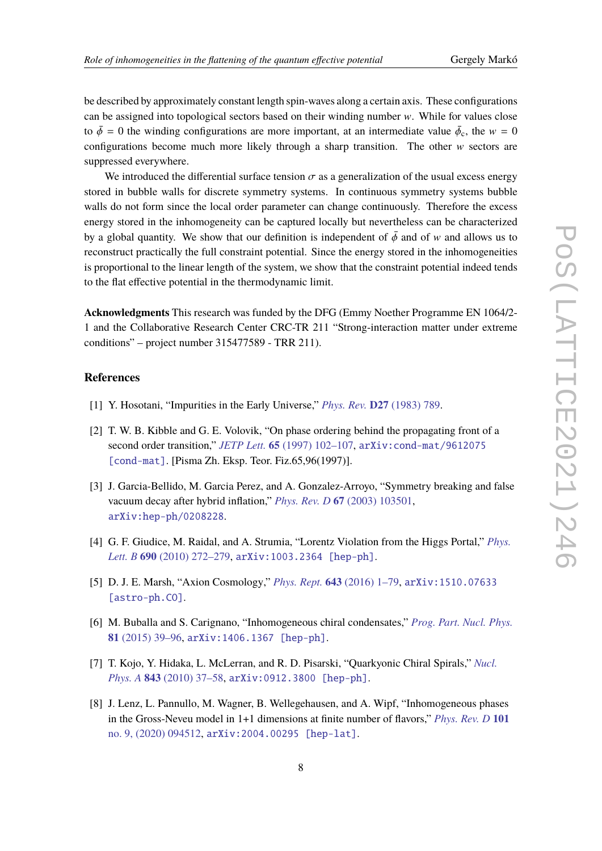be described by approximately constant length spin-waves along a certain axis. These configurations can be assigned into topological sectors based on their winding number  $w$ . While for values close to  $\bar{\phi} = 0$  the winding configurations are more important, at an intermediate value  $\bar{\phi}_c$ , the w = 0<br>configurations become much more likely through a characteristic . The other we setter are configurations become much more likely through a sharp transition. The other  $w$  sectors are suppressed everywhere.

We introduced the differential surface tension  $\sigma$  as a generalization of the usual excess energy stored in bubble walls for discrete symmetry systems. In continuous symmetry systems bubble walls do not form since the local order parameter can change continuously. Therefore the excess energy stored in the inhomogeneity can be captured locally but nevertheless can be characterized by a global quantity. We show that our definition is independent of  $\bar{\phi}$  and of w and allows us to reconstruct practically the full constraint potential. Since the energy stored in the inhomogeneities is proportional to the linear length of the system, we show that the constraint potential indeed tends to the flat effective potential in the thermodynamic limit.

**Acknowledgments** This research was funded by the DFG (Emmy Noether Programme EN 1064/2- 1 and the Collaborative Research Center CRC-TR 211 "Strong-interaction matter under extreme conditions" – project number 315477589 - TRR 211).

### **References**

- <span id="page-7-0"></span>[1] Y. Hosotani, "Impurities in the Early Universe," *Phys. Rev.* **D27** [\(1983\) 789.](http://dx.doi.org/10.1103/PhysRevD.27.789)
- [2] T. W. B. Kibble and G. E. Volovik, "On phase ordering behind the propagating front of a second order transition," *JETP Lett.* **65** [\(1997\) 102–107,](http://dx.doi.org/10.1134/1.567332) [arXiv:cond-mat/9612075](http://arxiv.org/abs/cond-mat/9612075) [\[cond-mat\]](http://arxiv.org/abs/cond-mat/9612075). [Pisma Zh. Eksp. Teor. Fiz.65,96(1997)].
- [3] J. Garcia-Bellido, M. Garcia Perez, and A. Gonzalez-Arroyo, "Symmetry breaking and false vacuum decay after hybrid inflation," *Phys. Rev. D* **67** [\(2003\) 103501,](http://dx.doi.org/10.1103/PhysRevD.67.103501) [arXiv:hep-ph/0208228](http://arxiv.org/abs/hep-ph/0208228).
- <span id="page-7-1"></span>[4] G. F. Giudice, M. Raidal, and A. Strumia, "Lorentz Violation from the Higgs Portal," *[Phys.](http://dx.doi.org/10.1016/j.physletb.2010.05.029) Lett. B* **690** [\(2010\) 272–279,](http://dx.doi.org/10.1016/j.physletb.2010.05.029) [arXiv:1003.2364 \[hep-ph\]](http://arxiv.org/abs/1003.2364).
- <span id="page-7-2"></span>[5] D. J. E. Marsh, "Axion Cosmology," *Phys. Rept.* **643** [\(2016\) 1–79,](http://dx.doi.org/10.1016/j.physrep.2016.06.005) [arXiv:1510.07633](http://arxiv.org/abs/1510.07633) [\[astro-ph.CO\]](http://arxiv.org/abs/1510.07633).
- <span id="page-7-3"></span>[6] M. Buballa and S. Carignano, "Inhomogeneous chiral condensates," *[Prog. Part. Nucl. Phys.](http://dx.doi.org/10.1016/j.ppnp.2014.11.001)* **81** [\(2015\) 39–96,](http://dx.doi.org/10.1016/j.ppnp.2014.11.001) [arXiv:1406.1367 \[hep-ph\]](http://arxiv.org/abs/1406.1367).
- [7] T. Kojo, Y. Hidaka, L. McLerran, and R. D. Pisarski, "Quarkyonic Chiral Spirals," *[Nucl.](http://dx.doi.org/10.1016/j.nuclphysa.2010.05.053) Phys. A* **843** [\(2010\) 37–58,](http://dx.doi.org/10.1016/j.nuclphysa.2010.05.053) [arXiv:0912.3800 \[hep-ph\]](http://arxiv.org/abs/0912.3800).
- [8] J. Lenz, L. Pannullo, M. Wagner, B. Wellegehausen, and A. Wipf, "Inhomogeneous phases in the Gross-Neveu model in 1+1 dimensions at finite number of flavors," *[Phys. Rev. D](http://dx.doi.org/10.1103/PhysRevD.101.094512)* **101** [no. 9, \(2020\) 094512,](http://dx.doi.org/10.1103/PhysRevD.101.094512) [arXiv:2004.00295 \[hep-lat\]](http://arxiv.org/abs/2004.00295).